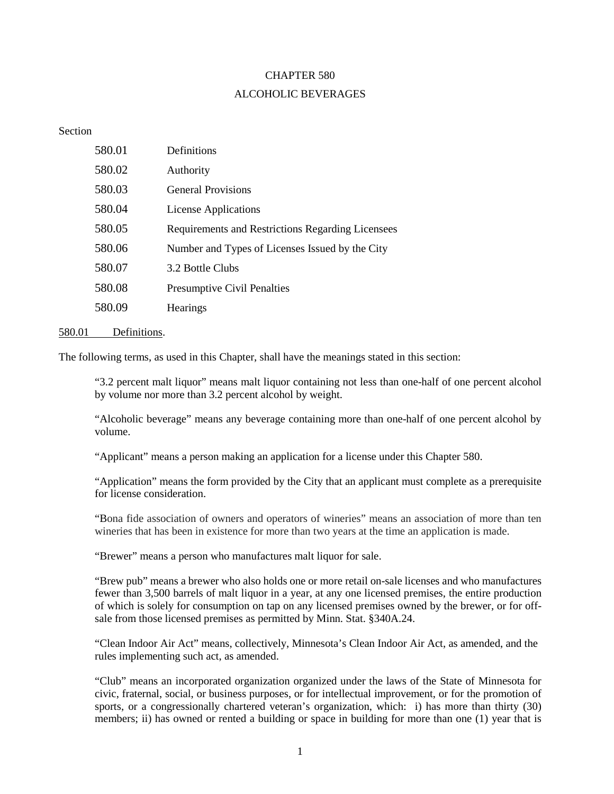# CHAPTER 580 ALCOHOLIC BEVERAGES

#### Section

| 580.01 | Definitions                                       |
|--------|---------------------------------------------------|
| 580.02 | Authority                                         |
| 580.03 | <b>General Provisions</b>                         |
| 580.04 | License Applications                              |
| 580.05 | Requirements and Restrictions Regarding Licensees |
| 580.06 | Number and Types of Licenses Issued by the City   |
| 580.07 | 3.2 Bottle Clubs                                  |
| 580.08 | <b>Presumptive Civil Penalties</b>                |
| 580.09 | Hearings                                          |

## 580.01 Definitions.

The following terms, as used in this Chapter, shall have the meanings stated in this section:

"3.2 percent malt liquor" means malt liquor containing not less than one-half of one percent alcohol by volume nor more than 3.2 percent alcohol by weight.

"Alcoholic beverage" means any beverage containing more than one-half of one percent alcohol by volume.

"Applicant" means a person making an application for a license under this Chapter 580.

"Application" means the form provided by the City that an applicant must complete as a prerequisite for license consideration.

"Bona fide association of owners and operators of wineries" means an association of more than ten wineries that has been in existence for more than two years at the time an application is made.

"Brewer" means a person who manufactures malt liquor for sale.

"Brew pub" means a brewer who also holds one or more retail on-sale licenses and who manufactures fewer than 3,500 barrels of malt liquor in a year, at any one licensed premises, the entire production of which is solely for consumption on tap on any licensed premises owned by the brewer, or for offsale from those licensed premises as permitted by Minn. Stat. §340A.24.

"Clean Indoor Air Act" means, collectively, Minnesota's Clean Indoor Air Act, as amended, and the rules implementing such act, as amended.

"Club" means an incorporated organization organized under the laws of the State of Minnesota for civic, fraternal, social, or business purposes, or for intellectual improvement, or for the promotion of sports, or a congressionally chartered veteran's organization, which: i) has more than thirty (30) members; ii) has owned or rented a building or space in building for more than one (1) year that is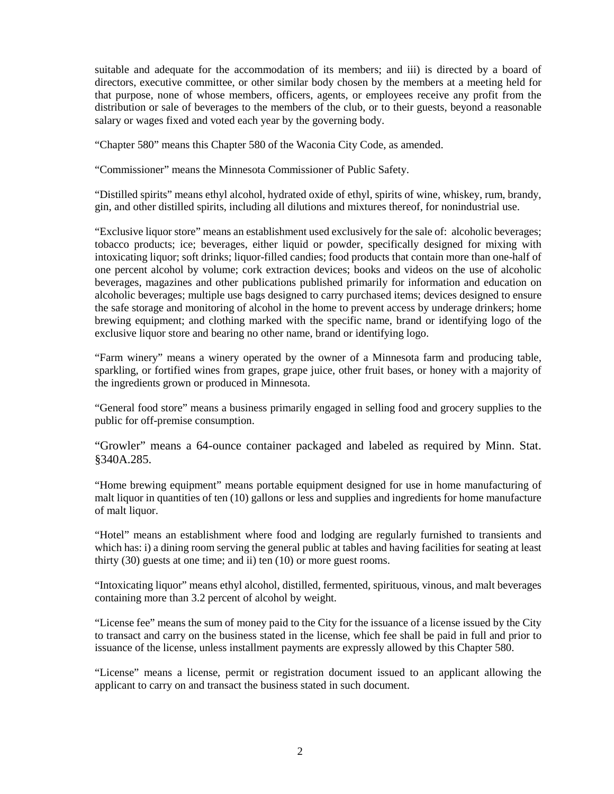suitable and adequate for the accommodation of its members; and iii) is directed by a board of directors, executive committee, or other similar body chosen by the members at a meeting held for that purpose, none of whose members, officers, agents, or employees receive any profit from the distribution or sale of beverages to the members of the club, or to their guests, beyond a reasonable salary or wages fixed and voted each year by the governing body.

"Chapter 580" means this Chapter 580 of the Waconia City Code, as amended.

"Commissioner" means the Minnesota Commissioner of Public Safety.

"Distilled spirits" means ethyl alcohol, hydrated oxide of ethyl, spirits of wine, whiskey, rum, brandy, gin, and other distilled spirits, including all dilutions and mixtures thereof, for nonindustrial use.

"Exclusive liquor store" means an establishment used exclusively for the sale of: alcoholic beverages; tobacco products; ice; beverages, either liquid or powder, specifically designed for mixing with intoxicating liquor; soft drinks; liquor-filled candies; food products that contain more than one-half of one percent alcohol by volume; cork extraction devices; books and videos on the use of alcoholic beverages, magazines and other publications published primarily for information and education on alcoholic beverages; multiple use bags designed to carry purchased items; devices designed to ensure the safe storage and monitoring of alcohol in the home to prevent access by underage drinkers; home brewing equipment; and clothing marked with the specific name, brand or identifying logo of the exclusive liquor store and bearing no other name, brand or identifying logo.

"Farm winery" means a winery operated by the owner of a Minnesota farm and producing table, sparkling, or fortified wines from grapes, grape juice, other fruit bases, or honey with a majority of the ingredients grown or produced in Minnesota.

"General food store" means a business primarily engaged in selling food and grocery supplies to the public for off-premise consumption.

"Growler" means a 64-ounce container packaged and labeled as required by Minn. Stat. §340A.285.

"Home brewing equipment" means portable equipment designed for use in home manufacturing of malt liquor in quantities of ten (10) gallons or less and supplies and ingredients for home manufacture of malt liquor.

"Hotel" means an establishment where food and lodging are regularly furnished to transients and which has: i) a dining room serving the general public at tables and having facilities for seating at least thirty (30) guests at one time; and ii) ten (10) or more guest rooms.

"Intoxicating liquor" means ethyl alcohol, distilled, fermented, spirituous, vinous, and malt beverages containing more than 3.2 percent of alcohol by weight.

"License fee" means the sum of money paid to the City for the issuance of a license issued by the City to transact and carry on the business stated in the license, which fee shall be paid in full and prior to issuance of the license, unless installment payments are expressly allowed by this Chapter 580.

"License" means a license, permit or registration document issued to an applicant allowing the applicant to carry on and transact the business stated in such document.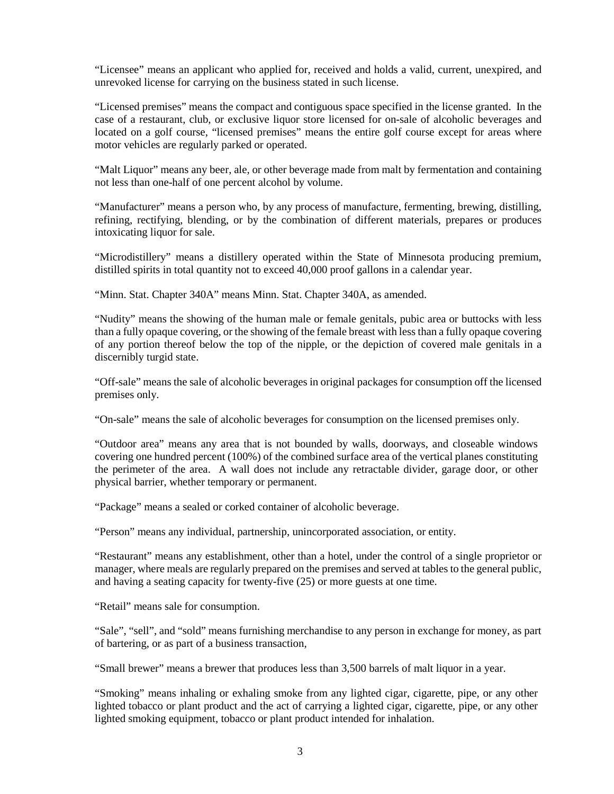"Licensee" means an applicant who applied for, received and holds a valid, current, unexpired, and unrevoked license for carrying on the business stated in such license.

"Licensed premises" means the compact and contiguous space specified in the license granted. In the case of a restaurant, club, or exclusive liquor store licensed for on-sale of alcoholic beverages and located on a golf course, "licensed premises" means the entire golf course except for areas where motor vehicles are regularly parked or operated.

"Malt Liquor" means any beer, ale, or other beverage made from malt by fermentation and containing not less than one-half of one percent alcohol by volume.

"Manufacturer" means a person who, by any process of manufacture, fermenting, brewing, distilling, refining, rectifying, blending, or by the combination of different materials, prepares or produces intoxicating liquor for sale.

"Microdistillery" means a distillery operated within the State of Minnesota producing premium, distilled spirits in total quantity not to exceed 40,000 proof gallons in a calendar year.

"Minn. Stat. Chapter 340A" means Minn. Stat. Chapter 340A, as amended.

"Nudity" means the showing of the human male or female genitals, pubic area or buttocks with less than a fully opaque covering, or the showing of the female breast with less than a fully opaque covering of any portion thereof below the top of the nipple, or the depiction of covered male genitals in a discernibly turgid state.

"Off-sale" means the sale of alcoholic beverages in original packages for consumption off the licensed premises only.

"On-sale" means the sale of alcoholic beverages for consumption on the licensed premises only.

"Outdoor area" means any area that is not bounded by walls, doorways, and closeable windows covering one hundred percent (100%) of the combined surface area of the vertical planes constituting the perimeter of the area. A wall does not include any retractable divider, garage door, or other physical barrier, whether temporary or permanent.

"Package" means a sealed or corked container of alcoholic beverage.

"Person" means any individual, partnership, unincorporated association, or entity.

"Restaurant" means any establishment, other than a hotel, under the control of a single proprietor or manager, where meals are regularly prepared on the premises and served at tables to the general public, and having a seating capacity for twenty-five (25) or more guests at one time.

"Retail" means sale for consumption.

"Sale", "sell", and "sold" means furnishing merchandise to any person in exchange for money, as part of bartering, or as part of a business transaction,

"Small brewer" means a brewer that produces less than 3,500 barrels of malt liquor in a year.

"Smoking" means inhaling or exhaling smoke from any lighted cigar, cigarette, pipe, or any other lighted tobacco or plant product and the act of carrying a lighted cigar, cigarette, pipe, or any other lighted smoking equipment, tobacco or plant product intended for inhalation.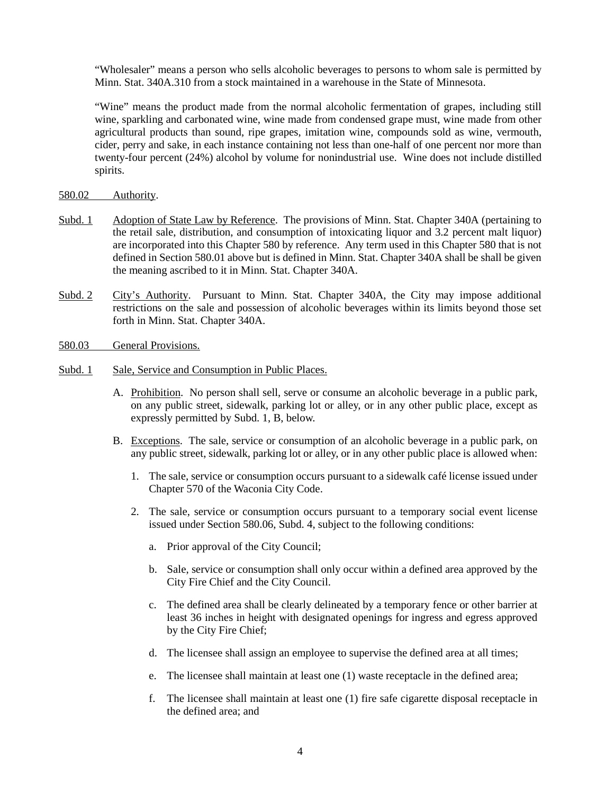"Wholesaler" means a person who sells alcoholic beverages to persons to whom sale is permitted by Minn. Stat. 340A.310 from a stock maintained in a warehouse in the State of Minnesota.

"Wine" means the product made from the normal alcoholic fermentation of grapes, including still wine, sparkling and carbonated wine, wine made from condensed grape must, wine made from other agricultural products than sound, ripe grapes, imitation wine, compounds sold as wine, vermouth, cider, perry and sake, in each instance containing not less than one-half of one percent nor more than twenty-four percent (24%) alcohol by volume for nonindustrial use. Wine does not include distilled spirits.

#### 580.02 Authority.

- Subd. 1 Adoption of State Law by Reference. The provisions of Minn. Stat. Chapter 340A (pertaining to the retail sale, distribution, and consumption of intoxicating liquor and 3.2 percent malt liquor) are incorporated into this Chapter 580 by reference. Any term used in this Chapter 580 that is not defined in Section 580.01 above but is defined in Minn. Stat. Chapter 340A shall be shall be given the meaning ascribed to it in Minn. Stat. Chapter 340A.
- Subd. 2 City's Authority. Pursuant to Minn. Stat. Chapter 340A, the City may impose additional restrictions on the sale and possession of alcoholic beverages within its limits beyond those set forth in Minn. Stat. Chapter 340A.
- 580.03 General Provisions.
- Subd. 1 Sale, Service and Consumption in Public Places.
	- A. Prohibition. No person shall sell, serve or consume an alcoholic beverage in a public park, on any public street, sidewalk, parking lot or alley, or in any other public place, except as expressly permitted by Subd. 1, B, below.
	- B. Exceptions. The sale, service or consumption of an alcoholic beverage in a public park, on any public street, sidewalk, parking lot or alley, or in any other public place is allowed when:
		- 1. The sale, service or consumption occurs pursuant to a sidewalk café license issued under Chapter 570 of the Waconia City Code.
		- 2. The sale, service or consumption occurs pursuant to a temporary social event license issued under Section 580.06, Subd. 4, subject to the following conditions:
			- a. Prior approval of the City Council;
			- b. Sale, service or consumption shall only occur within a defined area approved by the City Fire Chief and the City Council.
			- c. The defined area shall be clearly delineated by a temporary fence or other barrier at least 36 inches in height with designated openings for ingress and egress approved by the City Fire Chief;
			- d. The licensee shall assign an employee to supervise the defined area at all times;
			- e. The licensee shall maintain at least one (1) waste receptacle in the defined area;
			- f. The licensee shall maintain at least one (1) fire safe cigarette disposal receptacle in the defined area; and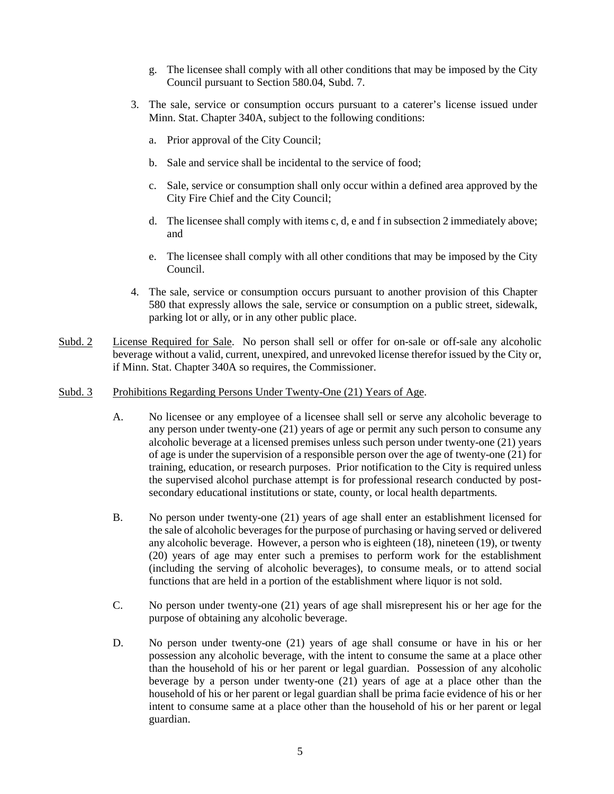- g. The licensee shall comply with all other conditions that may be imposed by the City Council pursuant to Section 580.04, Subd. 7.
- 3. The sale, service or consumption occurs pursuant to a caterer's license issued under Minn. Stat. Chapter 340A, subject to the following conditions:
	- a. Prior approval of the City Council;
	- b. Sale and service shall be incidental to the service of food;
	- c. Sale, service or consumption shall only occur within a defined area approved by the City Fire Chief and the City Council;
	- d. The licensee shall comply with items c, d, e and f in subsection 2 immediately above; and
	- e. The licensee shall comply with all other conditions that may be imposed by the City Council.
- 4. The sale, service or consumption occurs pursuant to another provision of this Chapter 580 that expressly allows the sale, service or consumption on a public street, sidewalk, parking lot or ally, or in any other public place.
- Subd. 2 License Required for Sale. No person shall sell or offer for on-sale or off-sale any alcoholic beverage without a valid, current, unexpired, and unrevoked license therefor issued by the City or, if Minn. Stat. Chapter 340A so requires, the Commissioner.
- Subd. 3 Prohibitions Regarding Persons Under Twenty-One (21) Years of Age.
	- A. No licensee or any employee of a licensee shall sell or serve any alcoholic beverage to any person under twenty-one (21) years of age or permit any such person to consume any alcoholic beverage at a licensed premises unless such person under twenty-one (21) years of age is under the supervision of a responsible person over the age of twenty-one (21) for training, education, or research purposes. Prior notification to the City is required unless the supervised alcohol purchase attempt is for professional research conducted by postsecondary educational institutions or state, county, or local health departments*.*
	- B. No person under twenty-one (21) years of age shall enter an establishment licensed for the sale of alcoholic beverages for the purpose of purchasing or having served or delivered any alcoholic beverage. However, a person who is eighteen (18), nineteen (19), or twenty (20) years of age may enter such a premises to perform work for the establishment (including the serving of alcoholic beverages), to consume meals, or to attend social functions that are held in a portion of the establishment where liquor is not sold.
	- C. No person under twenty-one (21) years of age shall misrepresent his or her age for the purpose of obtaining any alcoholic beverage.
	- D. No person under twenty-one (21) years of age shall consume or have in his or her possession any alcoholic beverage, with the intent to consume the same at a place other than the household of his or her parent or legal guardian. Possession of any alcoholic beverage by a person under twenty-one (21) years of age at a place other than the household of his or her parent or legal guardian shall be prima facie evidence of his or her intent to consume same at a place other than the household of his or her parent or legal guardian.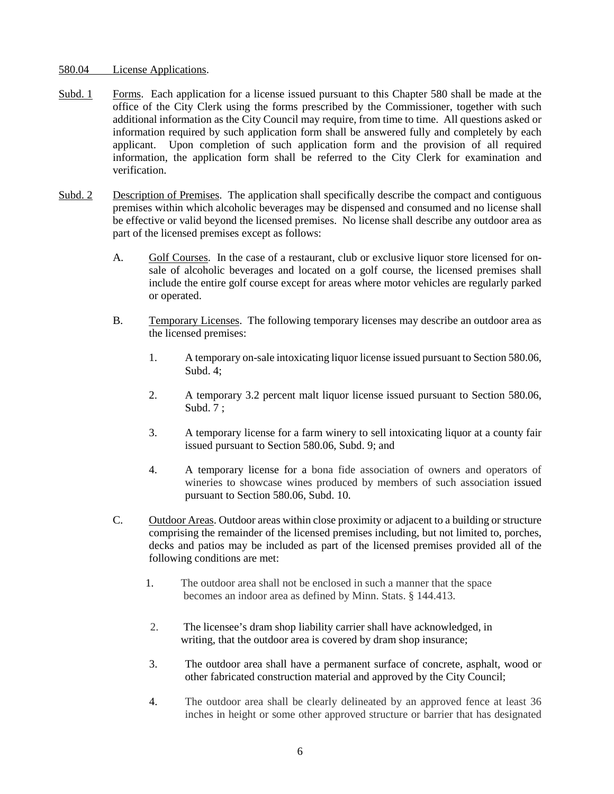#### 580.04 License Applications.

- Subd. 1 Forms. Each application for a license issued pursuant to this Chapter 580 shall be made at the office of the City Clerk using the forms prescribed by the Commissioner, together with such additional information as the City Council may require, from time to time. All questions asked or information required by such application form shall be answered fully and completely by each applicant. Upon completion of such application form and the provision of all required information, the application form shall be referred to the City Clerk for examination and verification.
- Subd. 2 Description of Premises. The application shall specifically describe the compact and contiguous premises within which alcoholic beverages may be dispensed and consumed and no license shall be effective or valid beyond the licensed premises. No license shall describe any outdoor area as part of the licensed premises except as follows:
	- A. Golf Courses. In the case of a restaurant, club or exclusive liquor store licensed for onsale of alcoholic beverages and located on a golf course, the licensed premises shall include the entire golf course except for areas where motor vehicles are regularly parked or operated.
	- B. Temporary Licenses. The following temporary licenses may describe an outdoor area as the licensed premises:
		- 1. A temporary on-sale intoxicating liquor license issued pursuant to Section 580.06, Subd. 4;
		- 2. A temporary 3.2 percent malt liquor license issued pursuant to Section 580.06, Subd. 7 ;
		- 3. A temporary license for a farm winery to sell intoxicating liquor at a county fair issued pursuant to Section 580.06, Subd. 9; and
		- 4. A temporary license for a bona fide association of owners and operators of wineries to showcase wines produced by members of such association issued pursuant to Section 580.06, Subd. 10.
	- C. Outdoor Areas. Outdoor areas within close proximity or adjacent to a building or structure comprising the remainder of the licensed premises including, but not limited to, porches, decks and patios may be included as part of the licensed premises provided all of the following conditions are met:
		- 1. The outdoor area shall not be enclosed in such a manner that the space becomes an indoor area as defined by Minn. Stats. § 144.413.
		- 2. The licensee's dram shop liability carrier shall have acknowledged, in writing, that the outdoor area is covered by dram shop insurance;
		- 3. The outdoor area shall have a permanent surface of concrete, asphalt, wood or other fabricated construction material and approved by the City Council;
		- 4. The outdoor area shall be clearly delineated by an approved fence at least 36 inches in height or some other approved structure or barrier that has designated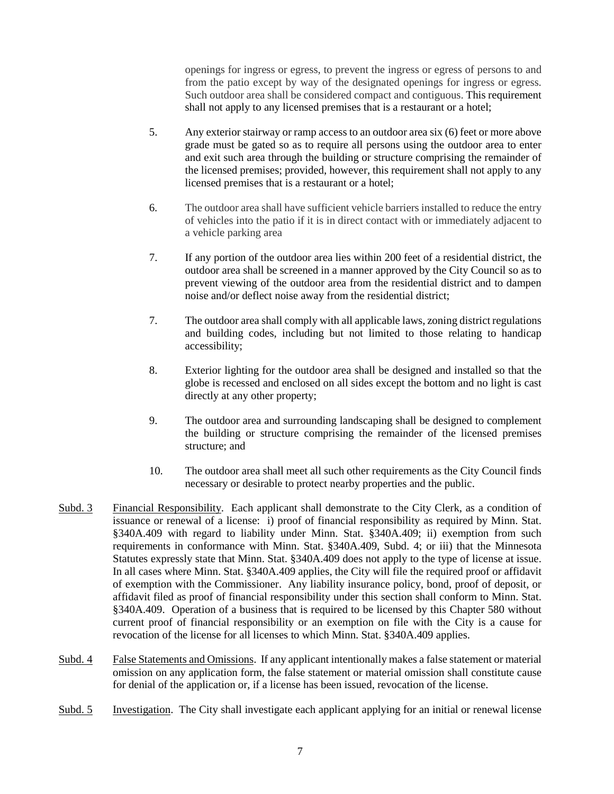openings for ingress or egress, to prevent the ingress or egress of persons to and from the patio except by way of the designated openings for ingress or egress. Such outdoor area shall be considered compact and contiguous. This requirement shall not apply to any licensed premises that is a restaurant or a hotel;

- 5. Any exterior stairway or ramp access to an outdoor area six (6) feet or more above grade must be gated so as to require all persons using the outdoor area to enter and exit such area through the building or structure comprising the remainder of the licensed premises; provided, however, this requirement shall not apply to any licensed premises that is a restaurant or a hotel;
- 6. The outdoor area shall have sufficient vehicle barriers installed to reduce the entry of vehicles into the patio if it is in direct contact with or immediately adjacent to a vehicle parking area
- 7. If any portion of the outdoor area lies within 200 feet of a residential district, the outdoor area shall be screened in a manner approved by the City Council so as to prevent viewing of the outdoor area from the residential district and to dampen noise and/or deflect noise away from the residential district;
- 7. The outdoor area shall comply with all applicable laws, zoning district regulations and building codes, including but not limited to those relating to handicap accessibility;
- 8. Exterior lighting for the outdoor area shall be designed and installed so that the globe is recessed and enclosed on all sides except the bottom and no light is cast directly at any other property;
- 9. The outdoor area and surrounding landscaping shall be designed to complement the building or structure comprising the remainder of the licensed premises structure; and
- 10. The outdoor area shall meet all such other requirements as the City Council finds necessary or desirable to protect nearby properties and the public.
- Subd. 3 Financial Responsibility. Each applicant shall demonstrate to the City Clerk, as a condition of issuance or renewal of a license: i) proof of financial responsibility as required by Minn. Stat. §340A.409 with regard to liability under Minn. Stat. §340A.409; ii) exemption from such requirements in conformance with Minn. Stat. §340A.409, Subd. 4; or iii) that the Minnesota Statutes expressly state that Minn. Stat. §340A.409 does not apply to the type of license at issue. In all cases where Minn. Stat. §340A.409 applies, the City will file the required proof or affidavit of exemption with the Commissioner. Any liability insurance policy, bond, proof of deposit, or affidavit filed as proof of financial responsibility under this section shall conform to Minn. Stat. §340A.409. Operation of a business that is required to be licensed by this Chapter 580 without current proof of financial responsibility or an exemption on file with the City is a cause for revocation of the license for all licenses to which Minn. Stat. §340A.409 applies.
- Subd. 4 False Statements and Omissions. If any applicant intentionally makes a false statement or material omission on any application form, the false statement or material omission shall constitute cause for denial of the application or, if a license has been issued, revocation of the license.
- Subd. 5 Investigation. The City shall investigate each applicant applying for an initial or renewal license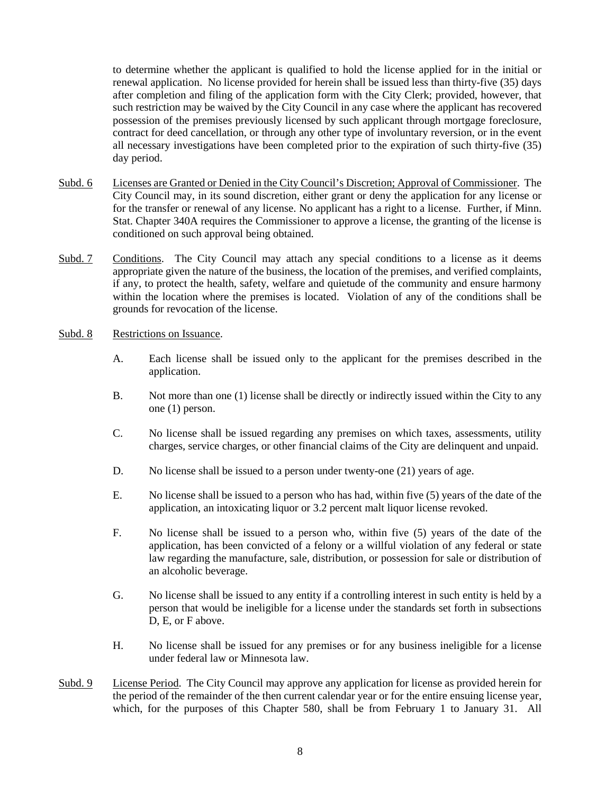to determine whether the applicant is qualified to hold the license applied for in the initial or renewal application. No license provided for herein shall be issued less than thirty-five (35) days after completion and filing of the application form with the City Clerk; provided, however, that such restriction may be waived by the City Council in any case where the applicant has recovered possession of the premises previously licensed by such applicant through mortgage foreclosure, contract for deed cancellation, or through any other type of involuntary reversion, or in the event all necessary investigations have been completed prior to the expiration of such thirty-five (35) day period.

- Subd. 6 Licenses are Granted or Denied in the City Council's Discretion; Approval of Commissioner. The City Council may, in its sound discretion, either grant or deny the application for any license or for the transfer or renewal of any license. No applicant has a right to a license. Further, if Minn. Stat. Chapter 340A requires the Commissioner to approve a license, the granting of the license is conditioned on such approval being obtained.
- Subd. 7 Conditions. The City Council may attach any special conditions to a license as it deems appropriate given the nature of the business, the location of the premises, and verified complaints, if any, to protect the health, safety, welfare and quietude of the community and ensure harmony within the location where the premises is located. Violation of any of the conditions shall be grounds for revocation of the license.
- Subd. 8 Restrictions on Issuance.
	- A. Each license shall be issued only to the applicant for the premises described in the application.
	- B. Not more than one (1) license shall be directly or indirectly issued within the City to any one (1) person.
	- C. No license shall be issued regarding any premises on which taxes, assessments, utility charges, service charges, or other financial claims of the City are delinquent and unpaid.
	- D. No license shall be issued to a person under twenty-one (21) years of age.
	- E. No license shall be issued to a person who has had, within five (5) years of the date of the application, an intoxicating liquor or 3.2 percent malt liquor license revoked.
	- F. No license shall be issued to a person who, within five (5) years of the date of the application, has been convicted of a felony or a willful violation of any federal or state law regarding the manufacture, sale, distribution, or possession for sale or distribution of an alcoholic beverage.
	- G. No license shall be issued to any entity if a controlling interest in such entity is held by a person that would be ineligible for a license under the standards set forth in subsections D, E, or F above.
	- H. No license shall be issued for any premises or for any business ineligible for a license under federal law or Minnesota law.
- Subd. 9 License Period. The City Council may approve any application for license as provided herein for the period of the remainder of the then current calendar year or for the entire ensuing license year, which, for the purposes of this Chapter 580, shall be from February 1 to January 31. All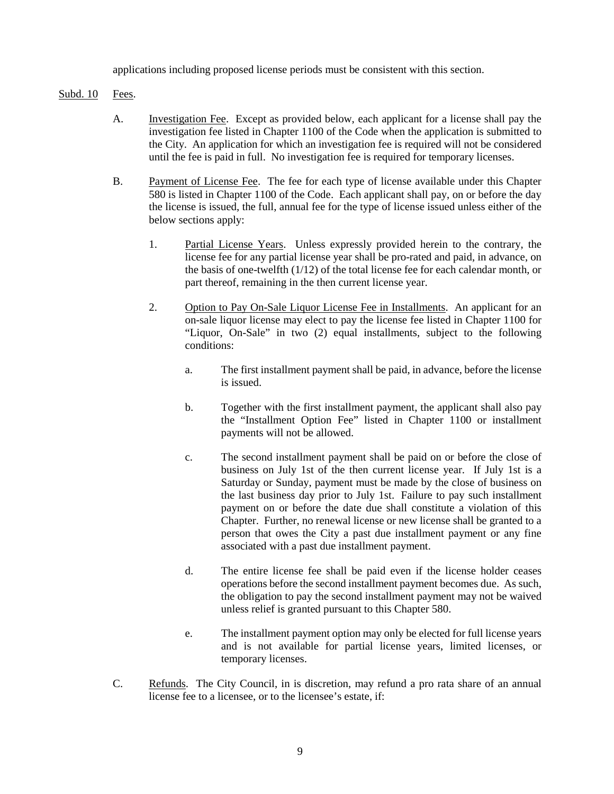applications including proposed license periods must be consistent with this section.

## Subd. 10 Fees.

- A. Investigation Fee. Except as provided below, each applicant for a license shall pay the investigation fee listed in Chapter 1100 of the Code when the application is submitted to the City. An application for which an investigation fee is required will not be considered until the fee is paid in full. No investigation fee is required for temporary licenses.
- B. Payment of License Fee. The fee for each type of license available under this Chapter 580 is listed in Chapter 1100 of the Code. Each applicant shall pay, on or before the day the license is issued, the full, annual fee for the type of license issued unless either of the below sections apply:
	- 1. Partial License Years. Unless expressly provided herein to the contrary, the license fee for any partial license year shall be pro-rated and paid, in advance, on the basis of one-twelfth (1/12) of the total license fee for each calendar month, or part thereof, remaining in the then current license year.
	- 2. Option to Pay On-Sale Liquor License Fee in Installments. An applicant for an on-sale liquor license may elect to pay the license fee listed in Chapter 1100 for "Liquor, On-Sale" in two (2) equal installments, subject to the following conditions:
		- a. The first installment payment shall be paid, in advance, before the license is issued.
		- b. Together with the first installment payment, the applicant shall also pay the "Installment Option Fee" listed in Chapter 1100 or installment payments will not be allowed.
		- c. The second installment payment shall be paid on or before the close of business on July 1st of the then current license year. If July 1st is a Saturday or Sunday, payment must be made by the close of business on the last business day prior to July 1st. Failure to pay such installment payment on or before the date due shall constitute a violation of this Chapter. Further, no renewal license or new license shall be granted to a person that owes the City a past due installment payment or any fine associated with a past due installment payment.
		- d. The entire license fee shall be paid even if the license holder ceases operations before the second installment payment becomes due. As such, the obligation to pay the second installment payment may not be waived unless relief is granted pursuant to this Chapter 580.
		- e. The installment payment option may only be elected for full license years and is not available for partial license years, limited licenses, or temporary licenses.
- C. Refunds. The City Council, in is discretion, may refund a pro rata share of an annual license fee to a licensee, or to the licensee's estate, if: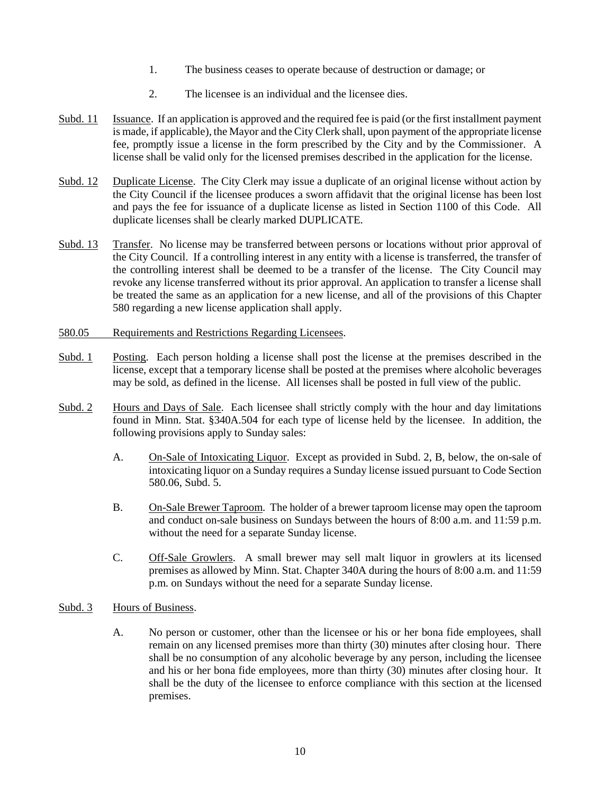- 1. The business ceases to operate because of destruction or damage; or
- 2. The licensee is an individual and the licensee dies.
- Subd. 11 Issuance. If an application is approved and the required fee is paid (or the first installment payment is made, if applicable), the Mayor and the City Clerk shall, upon payment of the appropriate license fee, promptly issue a license in the form prescribed by the City and by the Commissioner. A license shall be valid only for the licensed premises described in the application for the license.
- Subd. 12 Duplicate License. The City Clerk may issue a duplicate of an original license without action by the City Council if the licensee produces a sworn affidavit that the original license has been lost and pays the fee for issuance of a duplicate license as listed in Section 1100 of this Code. All duplicate licenses shall be clearly marked DUPLICATE.
- Subd. 13 Transfer. No license may be transferred between persons or locations without prior approval of the City Council. If a controlling interest in any entity with a license is transferred, the transfer of the controlling interest shall be deemed to be a transfer of the license. The City Council may revoke any license transferred without its prior approval. An application to transfer a license shall be treated the same as an application for a new license, and all of the provisions of this Chapter 580 regarding a new license application shall apply.
- 580.05 Requirements and Restrictions Regarding Licensees.
- Subd. 1 Posting. Each person holding a license shall post the license at the premises described in the license, except that a temporary license shall be posted at the premises where alcoholic beverages may be sold, as defined in the license. All licenses shall be posted in full view of the public.
- Subd. 2 Hours and Days of Sale. Each licensee shall strictly comply with the hour and day limitations found in Minn. Stat. §340A.504 for each type of license held by the licensee. In addition, the following provisions apply to Sunday sales:
	- A. On-Sale of Intoxicating Liquor. Except as provided in Subd. 2, B, below, the on-sale of intoxicating liquor on a Sunday requires a Sunday license issued pursuant to Code Section 580.06, Subd. 5.
	- B. On-Sale Brewer Taproom. The holder of a brewer taproom license may open the taproom and conduct on-sale business on Sundays between the hours of 8:00 a.m. and 11:59 p.m. without the need for a separate Sunday license.
	- C. Off-Sale Growlers. A small brewer may sell malt liquor in growlers at its licensed premises as allowed by Minn. Stat. Chapter 340A during the hours of 8:00 a.m. and 11:59 p.m. on Sundays without the need for a separate Sunday license.

# Subd. 3 Hours of Business.

A. No person or customer, other than the licensee or his or her bona fide employees, shall remain on any licensed premises more than thirty (30) minutes after closing hour. There shall be no consumption of any alcoholic beverage by any person, including the licensee and his or her bona fide employees, more than thirty (30) minutes after closing hour. It shall be the duty of the licensee to enforce compliance with this section at the licensed premises.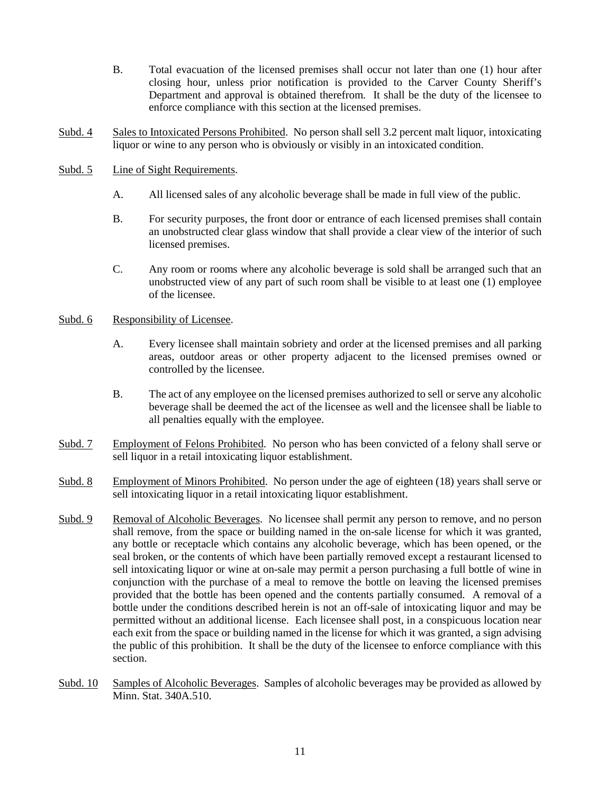- B. Total evacuation of the licensed premises shall occur not later than one (1) hour after closing hour, unless prior notification is provided to the Carver County Sheriff's Department and approval is obtained therefrom. It shall be the duty of the licensee to enforce compliance with this section at the licensed premises.
- Subd. 4 Sales to Intoxicated Persons Prohibited. No person shall sell 3.2 percent malt liquor, intoxicating liquor or wine to any person who is obviously or visibly in an intoxicated condition.
- Subd. 5 Line of Sight Requirements.
	- A. All licensed sales of any alcoholic beverage shall be made in full view of the public.
	- B. For security purposes, the front door or entrance of each licensed premises shall contain an unobstructed clear glass window that shall provide a clear view of the interior of such licensed premises.
	- C. Any room or rooms where any alcoholic beverage is sold shall be arranged such that an unobstructed view of any part of such room shall be visible to at least one (1) employee of the licensee.

## Subd. 6 Responsibility of Licensee.

- A. Every licensee shall maintain sobriety and order at the licensed premises and all parking areas, outdoor areas or other property adjacent to the licensed premises owned or controlled by the licensee.
- B. The act of any employee on the licensed premises authorized to sell or serve any alcoholic beverage shall be deemed the act of the licensee as well and the licensee shall be liable to all penalties equally with the employee.
- Subd. 7 Employment of Felons Prohibited. No person who has been convicted of a felony shall serve or sell liquor in a retail intoxicating liquor establishment.
- Subd. 8 Employment of Minors Prohibited. No person under the age of eighteen (18) years shall serve or sell intoxicating liquor in a retail intoxicating liquor establishment.
- Subd. 9 Removal of Alcoholic Beverages. No licensee shall permit any person to remove, and no person shall remove, from the space or building named in the on-sale license for which it was granted, any bottle or receptacle which contains any alcoholic beverage, which has been opened, or the seal broken, or the contents of which have been partially removed except a restaurant licensed to sell intoxicating liquor or wine at on-sale may permit a person purchasing a full bottle of wine in conjunction with the purchase of a meal to remove the bottle on leaving the licensed premises provided that the bottle has been opened and the contents partially consumed. A removal of a bottle under the conditions described herein is not an off-sale of intoxicating liquor and may be permitted without an additional license. Each licensee shall post, in a conspicuous location near each exit from the space or building named in the license for which it was granted, a sign advising the public of this prohibition. It shall be the duty of the licensee to enforce compliance with this section.
- Subd. 10 Samples of Alcoholic Beverages. Samples of alcoholic beverages may be provided as allowed by Minn. Stat. 340A.510.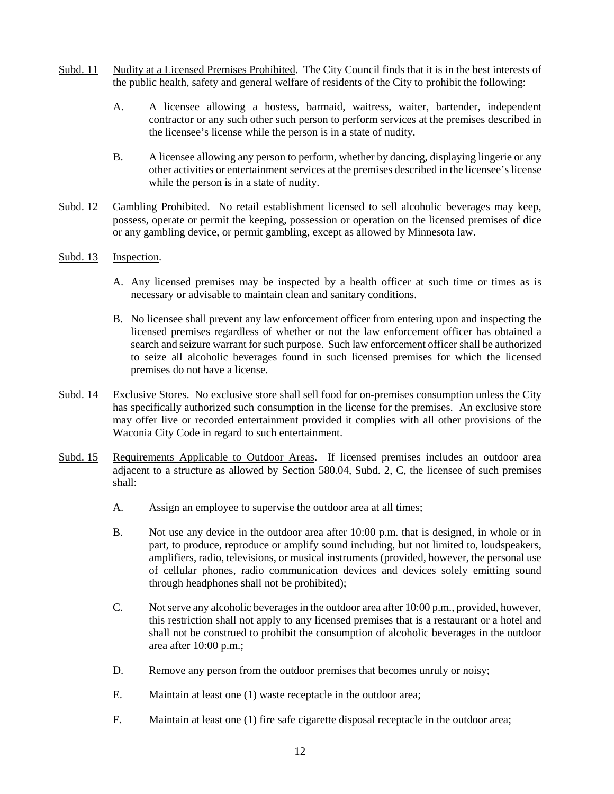- Subd. 11 Nudity at a Licensed Premises Prohibited. The City Council finds that it is in the best interests of the public health, safety and general welfare of residents of the City to prohibit the following:
	- A. A licensee allowing a hostess, barmaid, waitress, waiter, bartender, independent contractor or any such other such person to perform services at the premises described in the licensee's license while the person is in a state of nudity.
	- B. A licensee allowing any person to perform, whether by dancing, displaying lingerie or any other activities or entertainment services at the premises described in the licensee's license while the person is in a state of nudity.
- Subd. 12 Gambling Prohibited. No retail establishment licensed to sell alcoholic beverages may keep, possess, operate or permit the keeping, possession or operation on the licensed premises of dice or any gambling device, or permit gambling, except as allowed by Minnesota law.

## Subd. 13 Inspection.

- A. Any licensed premises may be inspected by a health officer at such time or times as is necessary or advisable to maintain clean and sanitary conditions.
- B. No licensee shall prevent any law enforcement officer from entering upon and inspecting the licensed premises regardless of whether or not the law enforcement officer has obtained a search and seizure warrant for such purpose. Such law enforcement officer shall be authorized to seize all alcoholic beverages found in such licensed premises for which the licensed premises do not have a license.
- Subd. 14 Exclusive Stores. No exclusive store shall sell food for on-premises consumption unless the City has specifically authorized such consumption in the license for the premises. An exclusive store may offer live or recorded entertainment provided it complies with all other provisions of the Waconia City Code in regard to such entertainment.
- Subd. 15 Requirements Applicable to Outdoor Areas. If licensed premises includes an outdoor area adjacent to a structure as allowed by Section 580.04, Subd. 2, C, the licensee of such premises shall:
	- A. Assign an employee to supervise the outdoor area at all times;
	- B. Not use any device in the outdoor area after 10:00 p.m. that is designed, in whole or in part, to produce, reproduce or amplify sound including, but not limited to, loudspeakers, amplifiers, radio, televisions, or musical instruments (provided, however, the personal use of cellular phones, radio communication devices and devices solely emitting sound through headphones shall not be prohibited);
	- C. Not serve any alcoholic beverages in the outdoor area after 10:00 p.m., provided, however, this restriction shall not apply to any licensed premises that is a restaurant or a hotel and shall not be construed to prohibit the consumption of alcoholic beverages in the outdoor area after 10:00 p.m.;
	- D. Remove any person from the outdoor premises that becomes unruly or noisy;
	- E. Maintain at least one (1) waste receptacle in the outdoor area;
	- F. Maintain at least one (1) fire safe cigarette disposal receptacle in the outdoor area;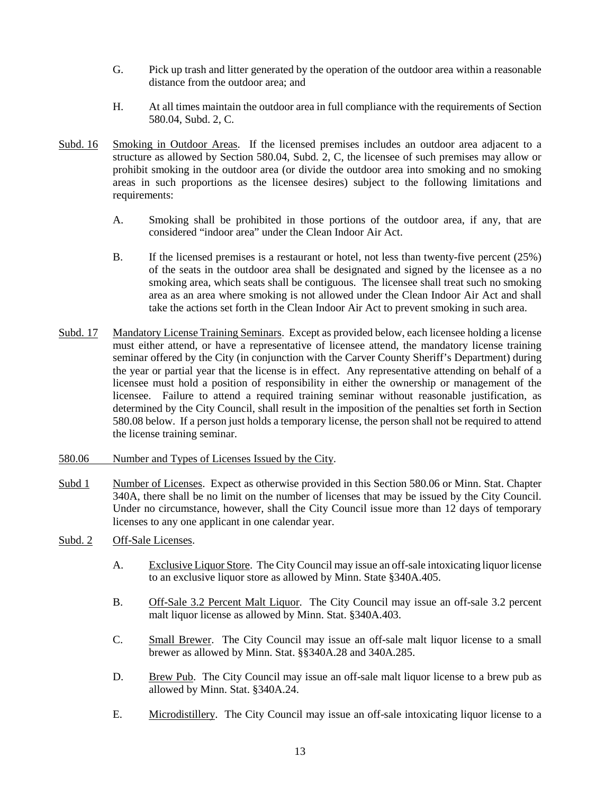- G. Pick up trash and litter generated by the operation of the outdoor area within a reasonable distance from the outdoor area; and
- H. At all times maintain the outdoor area in full compliance with the requirements of Section 580.04, Subd. 2, C.
- Subd. 16 Smoking in Outdoor Areas. If the licensed premises includes an outdoor area adjacent to a structure as allowed by Section 580.04, Subd. 2, C, the licensee of such premises may allow or prohibit smoking in the outdoor area (or divide the outdoor area into smoking and no smoking areas in such proportions as the licensee desires) subject to the following limitations and requirements:
	- A. Smoking shall be prohibited in those portions of the outdoor area, if any, that are considered "indoor area" under the Clean Indoor Air Act.
	- B. If the licensed premises is a restaurant or hotel, not less than twenty-five percent (25%) of the seats in the outdoor area shall be designated and signed by the licensee as a no smoking area, which seats shall be contiguous. The licensee shall treat such no smoking area as an area where smoking is not allowed under the Clean Indoor Air Act and shall take the actions set forth in the Clean Indoor Air Act to prevent smoking in such area.
- Subd. 17 Mandatory License Training Seminars. Except as provided below, each licensee holding a license must either attend, or have a representative of licensee attend, the mandatory license training seminar offered by the City (in conjunction with the Carver County Sheriff's Department) during the year or partial year that the license is in effect. Any representative attending on behalf of a licensee must hold a position of responsibility in either the ownership or management of the licensee. Failure to attend a required training seminar without reasonable justification, as determined by the City Council, shall result in the imposition of the penalties set forth in Section 580.08 below. If a person just holds a temporary license, the person shall not be required to attend the license training seminar.
- 580.06 Number and Types of Licenses Issued by the City.
- Subd 1 Number of Licenses. Expect as otherwise provided in this Section 580.06 or Minn. Stat. Chapter 340A, there shall be no limit on the number of licenses that may be issued by the City Council. Under no circumstance, however, shall the City Council issue more than 12 days of temporary licenses to any one applicant in one calendar year.
- Subd. 2 Off-Sale Licenses.
	- A. Exclusive Liquor Store. The City Council may issue an off-sale intoxicating liquor license to an exclusive liquor store as allowed by Minn. State §340A.405.
	- B. Off-Sale 3.2 Percent Malt Liquor. The City Council may issue an off-sale 3.2 percent malt liquor license as allowed by Minn. Stat. §340A.403.
	- C. Small Brewer. The City Council may issue an off-sale malt liquor license to a small brewer as allowed by Minn. Stat. §§340A.28 and 340A.285.
	- D. Brew Pub. The City Council may issue an off-sale malt liquor license to a brew pub as allowed by Minn. Stat. §340A.24.
	- E. Microdistillery. The City Council may issue an off-sale intoxicating liquor license to a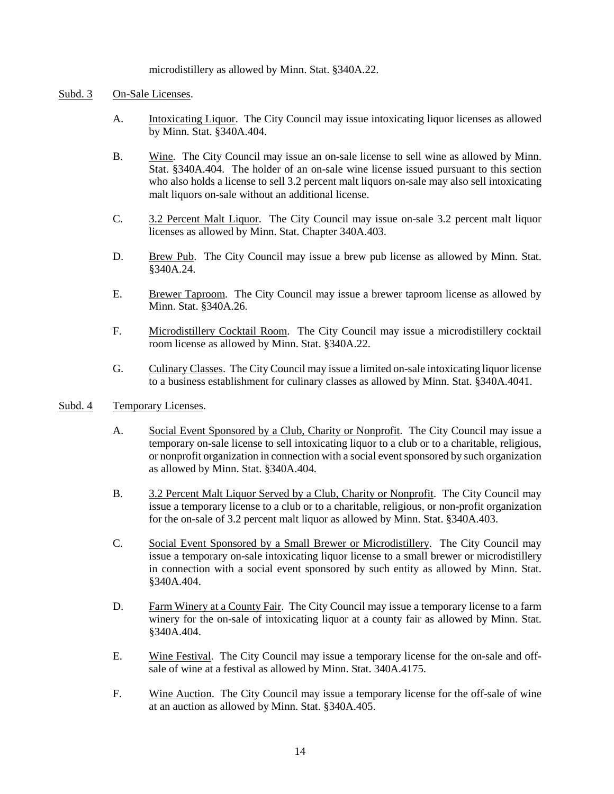## microdistillery as allowed by Minn. Stat. §340A.22.

## Subd. 3 On-Sale Licenses.

- A. Intoxicating Liquor. The City Council may issue intoxicating liquor licenses as allowed by Minn. Stat. §340A.404.
- B. Wine. The City Council may issue an on-sale license to sell wine as allowed by Minn. Stat. §340A.404. The holder of an on-sale wine license issued pursuant to this section who also holds a license to sell 3.2 percent malt liquors on-sale may also sell intoxicating malt liquors on-sale without an additional license.
- C. 3.2 Percent Malt Liquor. The City Council may issue on-sale 3.2 percent malt liquor licenses as allowed by Minn. Stat. Chapter 340A.403.
- D. Brew Pub. The City Council may issue a brew pub license as allowed by Minn. Stat. §340A.24.
- E. Brewer Taproom. The City Council may issue a brewer taproom license as allowed by Minn. Stat. §340A.26.
- F. Microdistillery Cocktail Room. The City Council may issue a microdistillery cocktail room license as allowed by Minn. Stat. §340A.22.
- G. Culinary Classes. The City Council may issue a limited on-sale intoxicating liquor license to a business establishment for culinary classes as allowed by Minn. Stat. §340A.4041.

#### Subd. 4 Temporary Licenses.

- A. Social Event Sponsored by a Club, Charity or Nonprofit. The City Council may issue a temporary on-sale license to sell intoxicating liquor to a club or to a charitable, religious, or nonprofit organization in connection with a social event sponsored by such organization as allowed by Minn. Stat. §340A.404.
- B. 3.2 Percent Malt Liquor Served by a Club, Charity or Nonprofit. The City Council may issue a temporary license to a club or to a charitable, religious, or non-profit organization for the on-sale of 3.2 percent malt liquor as allowed by Minn. Stat. §340A.403.
- C. Social Event Sponsored by a Small Brewer or Microdistillery. The City Council may issue a temporary on-sale intoxicating liquor license to a small brewer or microdistillery in connection with a social event sponsored by such entity as allowed by Minn. Stat. §340A.404.
- D. Farm Winery at a County Fair. The City Council may issue a temporary license to a farm winery for the on-sale of intoxicating liquor at a county fair as allowed by Minn. Stat. §340A.404.
- E. Wine Festival. The City Council may issue a temporary license for the on-sale and offsale of wine at a festival as allowed by Minn. Stat. 340A.4175.
- F. Wine Auction. The City Council may issue a temporary license for the off-sale of wine at an auction as allowed by Minn. Stat. §340A.405.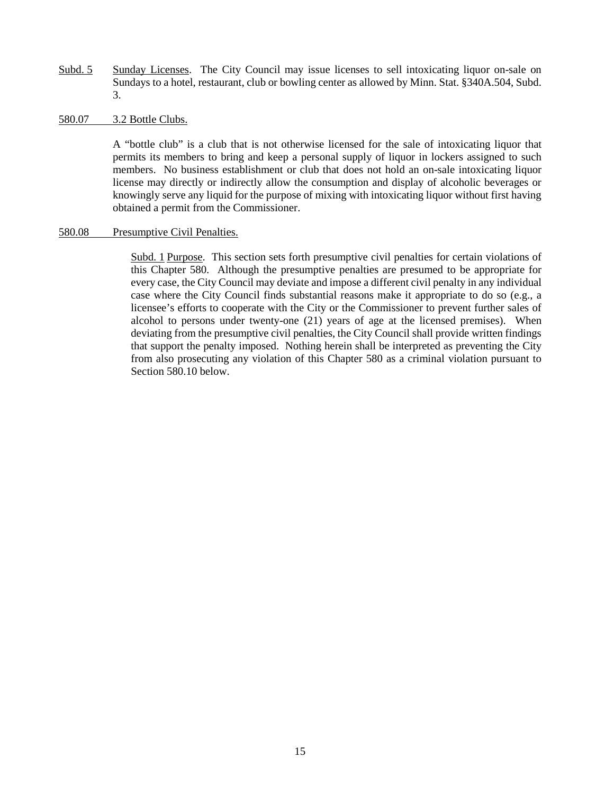- Subd. 5 Sunday Licenses. The City Council may issue licenses to sell intoxicating liquor on-sale on Sundays to a hotel, restaurant, club or bowling center as allowed by Minn. Stat. §340A.504, Subd. 3.
- 580.07 3.2 Bottle Clubs.

A "bottle club" is a club that is not otherwise licensed for the sale of intoxicating liquor that permits its members to bring and keep a personal supply of liquor in lockers assigned to such members. No business establishment or club that does not hold an on-sale intoxicating liquor license may directly or indirectly allow the consumption and display of alcoholic beverages or knowingly serve any liquid for the purpose of mixing with intoxicating liquor without first having obtained a permit from the Commissioner.

## 580.08 Presumptive Civil Penalties.

Subd. 1 Purpose. This section sets forth presumptive civil penalties for certain violations of this Chapter 580. Although the presumptive penalties are presumed to be appropriate for every case, the City Council may deviate and impose a different civil penalty in any individual case where the City Council finds substantial reasons make it appropriate to do so (e.g., a licensee's efforts to cooperate with the City or the Commissioner to prevent further sales of alcohol to persons under twenty-one (21) years of age at the licensed premises). When deviating from the presumptive civil penalties, the City Council shall provide written findings that support the penalty imposed. Nothing herein shall be interpreted as preventing the City from also prosecuting any violation of this Chapter 580 as a criminal violation pursuant to Section 580.10 below.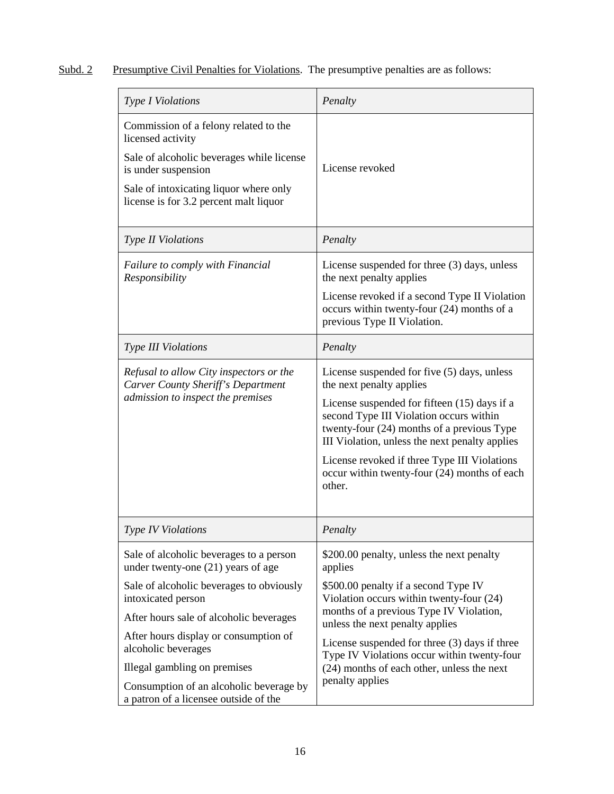# Subd. 2 Presumptive Civil Penalties for Violations. The presumptive penalties are as follows:

| Type I Violations                                                                                                                                                                                                                                                                             | Penalty                                                                                                                                                                                                                                                                                                                                                                      |
|-----------------------------------------------------------------------------------------------------------------------------------------------------------------------------------------------------------------------------------------------------------------------------------------------|------------------------------------------------------------------------------------------------------------------------------------------------------------------------------------------------------------------------------------------------------------------------------------------------------------------------------------------------------------------------------|
| Commission of a felony related to the<br>licensed activity<br>Sale of alcoholic beverages while license<br>is under suspension<br>Sale of intoxicating liquor where only<br>license is for 3.2 percent malt liquor                                                                            | License revoked                                                                                                                                                                                                                                                                                                                                                              |
| Type II Violations                                                                                                                                                                                                                                                                            | Penalty                                                                                                                                                                                                                                                                                                                                                                      |
| <b>Failure to comply with Financial</b><br>Responsibility                                                                                                                                                                                                                                     | License suspended for three (3) days, unless<br>the next penalty applies<br>License revoked if a second Type II Violation<br>occurs within twenty-four (24) months of a<br>previous Type II Violation.                                                                                                                                                                       |
| Type III Violations                                                                                                                                                                                                                                                                           | Penalty                                                                                                                                                                                                                                                                                                                                                                      |
| Refusal to allow City inspectors or the<br>Carver County Sheriff's Department<br>admission to inspect the premises                                                                                                                                                                            | License suspended for five (5) days, unless<br>the next penalty applies<br>License suspended for fifteen (15) days if a<br>second Type III Violation occurs within<br>twenty-four (24) months of a previous Type<br>III Violation, unless the next penalty applies<br>License revoked if three Type III Violations<br>occur within twenty-four (24) months of each<br>other. |
| <b>Type IV Violations</b>                                                                                                                                                                                                                                                                     | Penalty                                                                                                                                                                                                                                                                                                                                                                      |
| Sale of alcoholic beverages to a person<br>under twenty-one (21) years of age                                                                                                                                                                                                                 | \$200.00 penalty, unless the next penalty<br>applies                                                                                                                                                                                                                                                                                                                         |
| Sale of alcoholic beverages to obviously<br>intoxicated person<br>After hours sale of alcoholic beverages<br>After hours display or consumption of<br>alcoholic beverages<br>Illegal gambling on premises<br>Consumption of an alcoholic beverage by<br>a patron of a licensee outside of the | \$500.00 penalty if a second Type IV<br>Violation occurs within twenty-four (24)<br>months of a previous Type IV Violation,<br>unless the next penalty applies<br>License suspended for three $(3)$ days if three<br>Type IV Violations occur within twenty-four<br>(24) months of each other, unless the next<br>penalty applies                                            |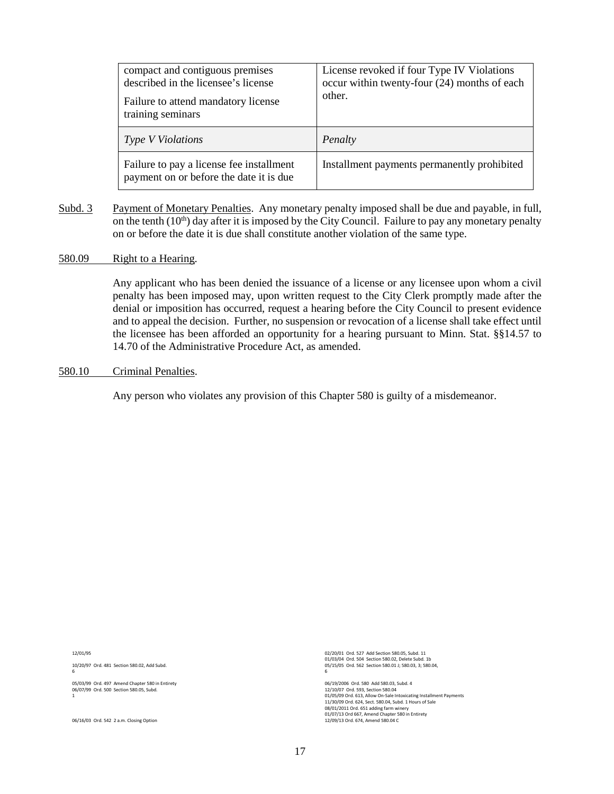| compact and contiguous premises<br>described in the licensee's license<br>Failure to attend mandatory license<br>training seminars | License revoked if four Type IV Violations<br>occur within twenty-four (24) months of each<br>other. |
|------------------------------------------------------------------------------------------------------------------------------------|------------------------------------------------------------------------------------------------------|
| <b>Type V Violations</b>                                                                                                           | Penalty                                                                                              |
| Failure to pay a license fee installment<br>payment on or before the date it is due                                                | Installment payments permanently prohibited                                                          |

Subd. 3 Payment of Monetary Penalties. Any monetary penalty imposed shall be due and payable, in full, on the tenth  $(10<sup>th</sup>)$  day after it is imposed by the City Council. Failure to pay any monetary penalty on or before the date it is due shall constitute another violation of the same type.

## 580.09 Right to a Hearing.

Any applicant who has been denied the issuance of a license or any licensee upon whom a civil penalty has been imposed may, upon written request to the City Clerk promptly made after the denial or imposition has occurred, request a hearing before the City Council to present evidence and to appeal the decision. Further, no suspension or revocation of a license shall take effect until the licensee has been afforded an opportunity for a hearing pursuant to Minn. Stat. §§14.57 to 14.70 of the Administrative Procedure Act, as amended.

#### 580.10 Criminal Penalties.

Any person who violates any provision of this Chapter 580 is guilty of a misdemeanor.

12/01/95

10/20/97 Ord. 481 Section 580.02, Add Subd. 6

05/03/99 Ord. 497 Amend Chapter 580 in Entirety 06/07/99 Ord. 500 Section 580.05, Subd. 1

06/16/03 Ord. 542 2 a.m. Closing Option

02/20/01 Ord. 527 Add Section 580.05, Subd. 11 01/03/04 Ord. 504 Section 580.02, Delete Subd. 1b 05/15/05 Ord. 562 Section 580.01 J; 580.03, 3; 580.04, 6

06/19/2006 Ord. 580 Add 580.03, Subd. 4 12/10/07 Ord. 593, Section 580.04 01/05/09 Ord. 613, Allow On-Sale Intoxicating Installment Payments 11/30/09 Ord. 624, Sect. 580.04, Subd. 1 Hours of Sale 08/01/2011 Ord. 651 adding farm winery 01/07/13 Ord 667, Amend Chapter 580 in Entirety 12/09/13 Ord. 674, Amend 580.04 C